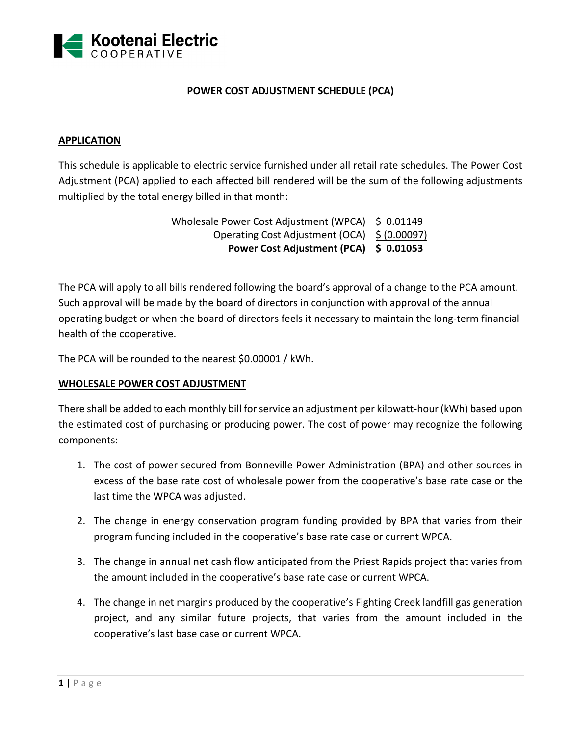

## **POWER COST ADJUSTMENT SCHEDULE (PCA)**

### **APPLICATION**

This schedule is applicable to electric service furnished under all retail rate schedules. The Power Cost Adjustment (PCA) applied to each affected bill rendered will be the sum of the following adjustments multiplied by the total energy billed in that month:

> Wholesale Power Cost Adjustment (WPCA) \$ 0.01149 Operating Cost Adjustment (OCA) \$ (0.00097) **Power Cost Adjustment (PCA) \$ 0.01053**

The PCA will apply to all bills rendered following the board's approval of a change to the PCA amount. Such approval will be made by the board of directors in conjunction with approval of the annual operating budget or when the board of directors feels it necessary to maintain the long‐term financial health of the cooperative.

The PCA will be rounded to the nearest \$0.00001 / kWh.

### **WHOLESALE POWER COST ADJUSTMENT**

There shall be added to each monthly bill for service an adjustment per kilowatt-hour (kWh) based upon the estimated cost of purchasing or producing power. The cost of power may recognize the following components:

- 1. The cost of power secured from Bonneville Power Administration (BPA) and other sources in excess of the base rate cost of wholesale power from the cooperative's base rate case or the last time the WPCA was adjusted.
- 2. The change in energy conservation program funding provided by BPA that varies from their program funding included in the cooperative's base rate case or current WPCA.
- 3. The change in annual net cash flow anticipated from the Priest Rapids project that varies from the amount included in the cooperative's base rate case or current WPCA.
- 4. The change in net margins produced by the cooperative's Fighting Creek landfill gas generation project, and any similar future projects, that varies from the amount included in the cooperative's last base case or current WPCA.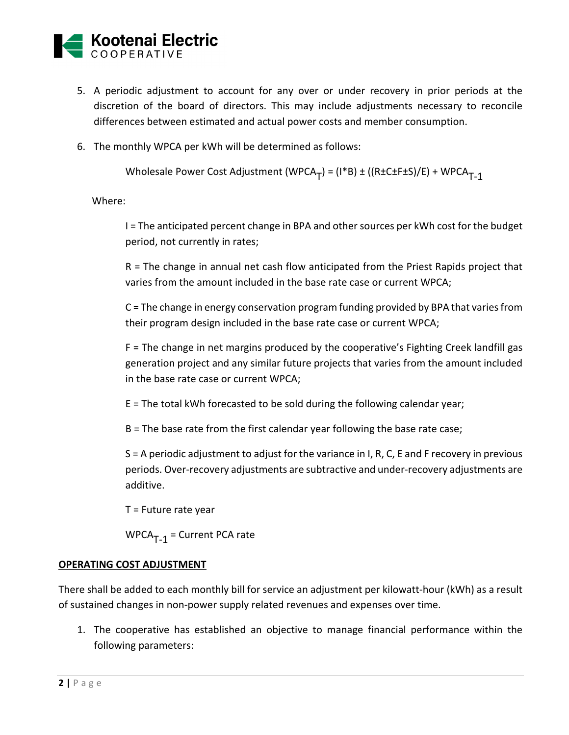

- 5. A periodic adjustment to account for any over or under recovery in prior periods at the discretion of the board of directors. This may include adjustments necessary to reconcile differences between estimated and actual power costs and member consumption.
- 6. The monthly WPCA per kWh will be determined as follows:

Wholesale Power Cost Adjustment (WPCA<sub>T</sub>) = (I\*B) ± ((R±C±F±S)/E) + WPCA<sub>T-1</sub>

Where:

I = The anticipated percent change in BPA and other sources per kWh cost for the budget period, not currently in rates;

R = The change in annual net cash flow anticipated from the Priest Rapids project that varies from the amount included in the base rate case or current WPCA;

C = The change in energy conservation program funding provided by BPA that varies from their program design included in the base rate case or current WPCA;

F = The change in net margins produced by the cooperative's Fighting Creek landfill gas generation project and any similar future projects that varies from the amount included in the base rate case or current WPCA;

E = The total kWh forecasted to be sold during the following calendar year;

B = The base rate from the first calendar year following the base rate case;

S = A periodic adjustment to adjust for the variance in I, R, C, E and F recovery in previous periods. Over‐recovery adjustments are subtractive and under‐recovery adjustments are additive.

T = Future rate year

 $WPCA_{T-1} = Current PCA rate$ 

### **OPERATING COST ADJUSTMENT**

There shall be added to each monthly bill for service an adjustment per kilowatt‐hour (kWh) as a result of sustained changes in non‐power supply related revenues and expenses over time.

1. The cooperative has established an objective to manage financial performance within the following parameters: